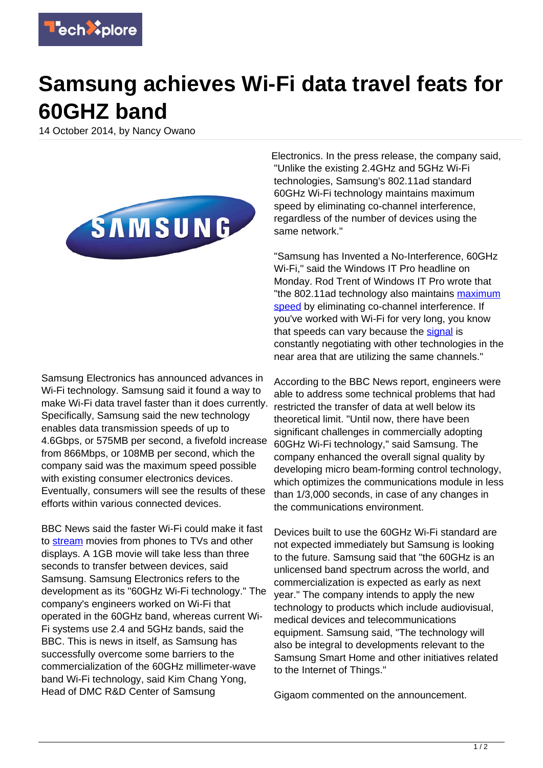

## **Samsung achieves Wi-Fi data travel feats for 60GHZ band**

14 October 2014, by Nancy Owano



Samsung Electronics has announced advances in Wi-Fi technology. Samsung said it found a way to make Wi-Fi data travel faster than it does currently. Specifically, Samsung said the new technology enables data transmission speeds of up to 4.6Gbps, or 575MB per second, a fivefold increase from 866Mbps, or 108MB per second, which the company said was the maximum speed possible with existing consumer electronics devices. Eventually, consumers will see the results of these efforts within various connected devices.

BBC News said the faster Wi-Fi could make it fast to [stream](http://www.bbc.com/news/technology-29595220) movies from phones to TVs and other displays. A 1GB movie will take less than three seconds to transfer between devices, said Samsung. Samsung Electronics refers to the development as its "60GHz Wi-Fi technology." The company's engineers worked on Wi-Fi that operated in the 60GHz band, whereas current Wi-Fi systems use 2.4 and 5GHz bands, said the BBC. This is news in itself, as Samsung has successfully overcome some barriers to the commercialization of the 60GHz millimeter-wave band Wi-Fi technology, said Kim Chang Yong, Head of DMC R&D Center of Samsung

Electronics. In the press release, the company said, "Unlike the existing 2.4GHz and 5GHz Wi-Fi technologies, Samsung's 802.11ad standard 60GHz Wi-Fi technology maintains maximum speed by eliminating co-channel interference, regardless of the number of devices using the same network."

"Samsung has Invented a No-Interference, 60GHz Wi-Fi," said the Windows IT Pro headline on Monday. Rod Trent of Windows IT Pro wrote that "the 802.11ad technology also maintains [maximum](https://techxplore.com/tags/maximum+speed/) [speed](https://techxplore.com/tags/maximum+speed/) by eliminating co-channel interference. If you've worked with Wi-Fi for very long, you know that speeds can vary because the [signal](http://windowsitpro.com/industry/samsung-has-invented-no-interference-60ghz-wi-fi) is constantly negotiating with other technologies in the near area that are utilizing the same channels."

According to the BBC News report, engineers were able to address some technical problems that had restricted the transfer of data at well below its theoretical limit. "Until now, there have been significant challenges in commercially adopting 60GHz Wi-Fi technology," said Samsung. The company enhanced the overall signal quality by developing micro beam-forming control technology, which optimizes the communications module in less than 1/3,000 seconds, in case of any changes in the communications environment.

Devices built to use the 60GHz Wi-Fi standard are not expected immediately but Samsung is looking to the future. Samsung said that "the 60GHz is an unlicensed band spectrum across the world, and commercialization is expected as early as next year." The company intends to apply the new technology to products which include audiovisual, medical devices and telecommunications equipment. Samsung said, "The technology will also be integral to developments relevant to the Samsung Smart Home and other initiatives related to the Internet of Things."

Gigaom commented on the announcement.